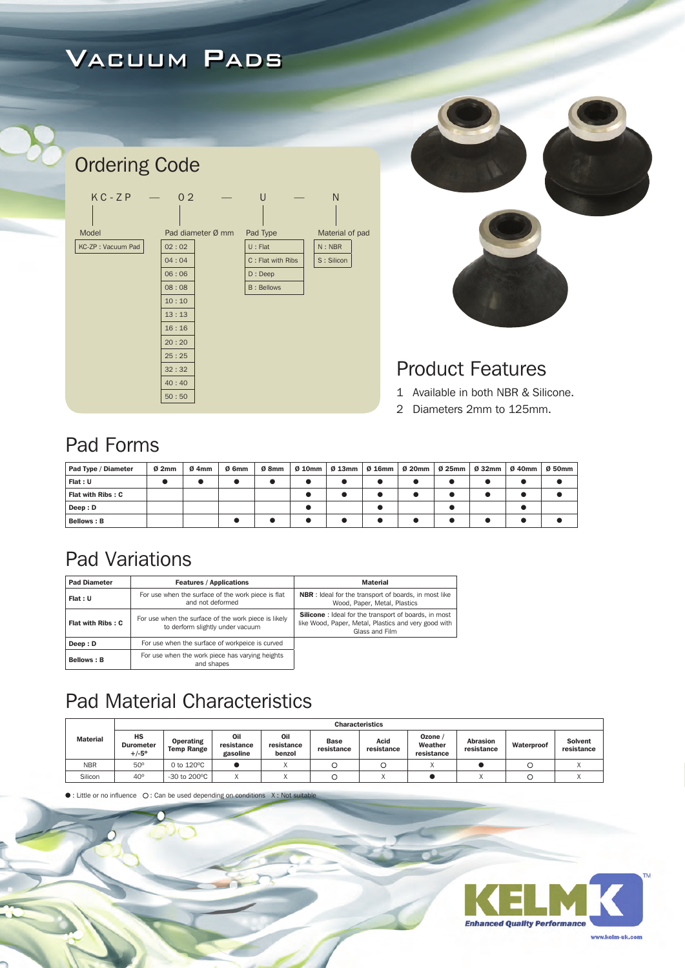# Vacuum Pads



40 : 40 50 : 50



### Product Features

- 1 Available in both NBR & Silicone.
- 2 Diameters 2mm to 125mm.

### Pad Forms

| Pad Type / Diameter | Ø2mm | $Ø$ 4mm | Ø 6mm | Ø 8mm | 0 10mm   0 13mm   0 16mm   0 20mm   0 25mm   0 32mm   0 40mm |  |  | Ø 50mm |
|---------------------|------|---------|-------|-------|--------------------------------------------------------------|--|--|--------|
| Flat : U            |      |         |       |       |                                                              |  |  |        |
| Flat with Ribs: C   |      |         |       |       |                                                              |  |  |        |
| Deep: D             |      |         |       |       |                                                              |  |  |        |
| <b>Bellows: B</b>   |      |         |       |       |                                                              |  |  |        |

## Pad Variations

| <b>Pad Diameter</b> | <b>Features / Applications</b>                                                           | <b>Material</b>                                                                                                                        |
|---------------------|------------------------------------------------------------------------------------------|----------------------------------------------------------------------------------------------------------------------------------------|
| Flat: U             | For use when the surface of the work piece is flat<br>and not deformed                   | <b>NBR</b> : Ideal for the transport of boards, in most like<br>Wood, Paper, Metal, Plastics                                           |
| Flat with Ribs: C   | For use when the surface of the work piece is likely<br>to derform slightly under vacuum | <b>Silicone</b> : Ideal for the transport of boards, in most<br>like Wood, Paper, Metal, Plastics and very good with<br>Glass and Film |
| Deep: D             | For use when the surface of workpeice is curved                                          |                                                                                                                                        |
| <b>Bellows: B</b>   | For use when the work piece has varying heights<br>and shapes                            |                                                                                                                                        |

## Pad Material Characteristics

|                 |                                          | <b>Characteristics</b>         |                               |                             |                           |                    |                                |                               |            |                              |  |  |  |  |
|-----------------|------------------------------------------|--------------------------------|-------------------------------|-----------------------------|---------------------------|--------------------|--------------------------------|-------------------------------|------------|------------------------------|--|--|--|--|
| <b>Material</b> | HS<br><b>Durometer</b><br>$+/-5^{\circ}$ | Operating<br><b>Temp Range</b> | Oil<br>resistance<br>gasoline | Oil<br>resistance<br>benzol | <b>Base</b><br>resistance | Acid<br>resistance | Ozone<br>Weather<br>resistance | <b>Abrasion</b><br>resistance | Waterproof | <b>Solvent</b><br>resistance |  |  |  |  |
| <b>NBR</b>      | $50^\circ$                               | 0 to $120^{\circ}$ C           |                               |                             |                           |                    |                                |                               |            |                              |  |  |  |  |
| Silicon         | $40^\circ$                               | -30 to 200°C                   |                               |                             |                           |                    |                                |                               |            |                              |  |  |  |  |

 $\bullet$  : Little or no influence  $\circ$  C : Can be used depending on conditions  $X :$  Not su